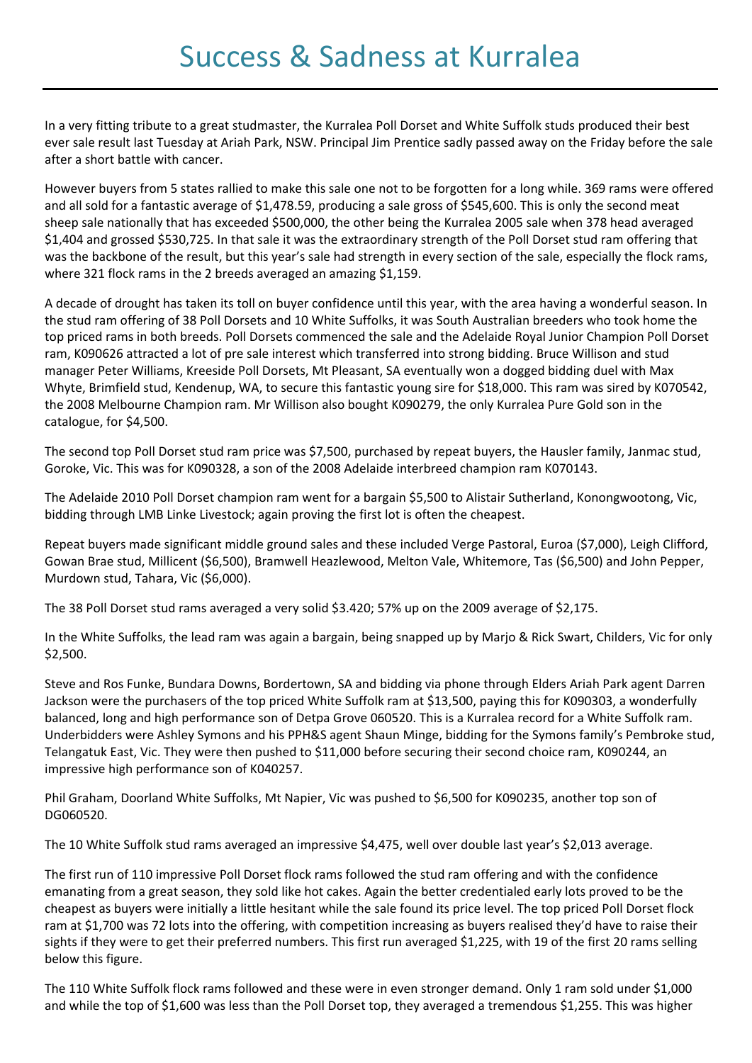In a very fitting tribute to a great studmaster, the Kurralea Poll Dorset and White Suffolk studs produced their best ever sale result last Tuesday at Ariah Park, NSW. Principal Jim Prentice sadly passed away on the Friday before the sale after a short battle with cancer.

However buyers from 5 states rallied to make this sale one not to be forgotten for a long while. 369 rams were offered and all sold for a fantastic average of \$1,478.59, producing a sale gross of \$545,600. This is only the second meat sheep sale nationally that has exceeded \$500,000, the other being the Kurralea 2005 sale when 378 head averaged \$1,404 and grossed \$530,725. In that sale it was the extraordinary strength of the Poll Dorset stud ram offering that was the backbone of the result, but this year's sale had strength in every section of the sale, especially the flock rams, where 321 flock rams in the 2 breeds averaged an amazing \$1,159.

A decade of drought has taken its toll on buyer confidence until this year, with the area having a wonderful season. In the stud ram offering of 38 Poll Dorsets and 10 White Suffolks, it was South Australian breeders who took home the top priced rams in both breeds. Poll Dorsets commenced the sale and the Adelaide Royal Junior Champion Poll Dorset ram, K090626 attracted a lot of pre sale interest which transferred into strong bidding. Bruce Willison and stud manager Peter Williams, Kreeside Poll Dorsets, Mt Pleasant, SA eventually won a dogged bidding duel with Max Whyte, Brimfield stud, Kendenup, WA, to secure this fantastic young sire for \$18,000. This ram was sired by K070542, the 2008 Melbourne Champion ram. Mr Willison also bought K090279, the only Kurralea Pure Gold son in the catalogue, for \$4,500.

The second top Poll Dorset stud ram price was \$7,500, purchased by repeat buyers, the Hausler family, Janmac stud, Goroke, Vic. This was for K090328, a son of the 2008 Adelaide interbreed champion ram K070143.

The Adelaide 2010 Poll Dorset champion ram went for a bargain \$5,500 to Alistair Sutherland, Konongwootong, Vic, bidding through LMB Linke Livestock; again proving the first lot is often the cheapest.

Repeat buyers made significant middle ground sales and these included Verge Pastoral, Euroa (\$7,000), Leigh Clifford, Gowan Brae stud, Millicent (\$6,500), Bramwell Heazlewood, Melton Vale, Whitemore, Tas (\$6,500) and John Pepper, Murdown stud, Tahara, Vic (\$6,000).

The 38 Poll Dorset stud rams averaged a very solid \$3.420; 57% up on the 2009 average of \$2,175.

In the White Suffolks, the lead ram was again a bargain, being snapped up by Marjo & Rick Swart, Childers, Vic for only \$2,500.

Steve and Ros Funke, Bundara Downs, Bordertown, SA and bidding via phone through Elders Ariah Park agent Darren Jackson were the purchasers of the top priced White Suffolk ram at \$13,500, paying this for K090303, a wonderfully balanced, long and high performance son of Detpa Grove 060520. This is a Kurralea record for a White Suffolk ram. Underbidders were Ashley Symons and his PPH&S agent Shaun Minge, bidding for the Symons family's Pembroke stud, Telangatuk East, Vic. They were then pushed to \$11,000 before securing their second choice ram, K090244, an impressive high performance son of K040257.

Phil Graham, Doorland White Suffolks, Mt Napier, Vic was pushed to \$6,500 for K090235, another top son of DG060520.

The 10 White Suffolk stud rams averaged an impressive \$4,475, well over double last year's \$2,013 average.

The first run of 110 impressive Poll Dorset flock rams followed the stud ram offering and with the confidence emanating from a great season, they sold like hot cakes. Again the better credentialed early lots proved to be the cheapest as buyers were initially a little hesitant while the sale found its price level. The top priced Poll Dorset flock ram at \$1,700 was 72 lots into the offering, with competition increasing as buyers realised they'd have to raise their sights if they were to get their preferred numbers. This first run averaged \$1,225, with 19 of the first 20 rams selling below this figure.

The 110 White Suffolk flock rams followed and these were in even stronger demand. Only 1 ram sold under \$1,000 and while the top of \$1,600 was less than the Poll Dorset top, they averaged a tremendous \$1,255. This was higher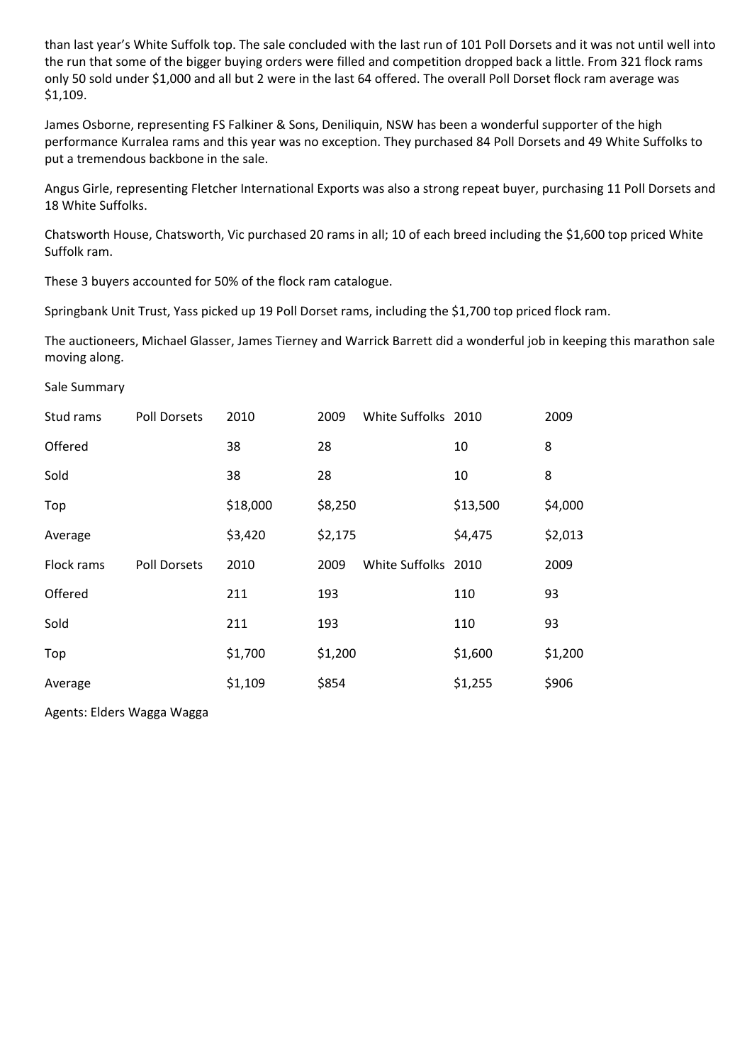than last year's White Suffolk top. The sale concluded with the last run of 101 Poll Dorsets and it was not until well into the run that some of the bigger buying orders were filled and competition dropped back a little. From 321 flock rams only 50 sold under \$1,000 and all but 2 were in the last 64 offered. The overall Poll Dorset flock ram average was \$1,109.

James Osborne, representing FS Falkiner & Sons, Deniliquin, NSW has been a wonderful supporter of the high performance Kurralea rams and this year was no exception. They purchased 84 Poll Dorsets and 49 White Suffolks to put a tremendous backbone in the sale.

Angus Girle, representing Fletcher International Exports was also a strong repeat buyer, purchasing 11 Poll Dorsets and 18 White Suffolks.

Chatsworth House, Chatsworth, Vic purchased 20 rams in all; 10 of each breed including the \$1,600 top priced White Suffolk ram.

These 3 buyers accounted for 50% of the flock ram catalogue.

Springbank Unit Trust, Yass picked up 19 Poll Dorset rams, including the \$1,700 top priced flock ram.

The auctioneers, Michael Glasser, James Tierney and Warrick Barrett did a wonderful job in keeping this marathon sale moving along.

## Sale Summary

| Stud rams  | <b>Poll Dorsets</b> | 2010     | 2009    | White Suffolks 2010 |          | 2009    |
|------------|---------------------|----------|---------|---------------------|----------|---------|
| Offered    |                     | 38       | 28      |                     | 10       | 8       |
| Sold       |                     | 38       | 28      |                     | 10       | 8       |
| Top        |                     | \$18,000 | \$8,250 |                     | \$13,500 | \$4,000 |
| Average    |                     | \$3,420  | \$2,175 |                     | \$4,475  | \$2,013 |
| Flock rams | <b>Poll Dorsets</b> | 2010     | 2009    | White Suffolks 2010 |          | 2009    |
| Offered    |                     | 211      | 193     |                     | 110      | 93      |
| Sold       |                     | 211      | 193     |                     | 110      | 93      |
| Top        |                     | \$1,700  | \$1,200 |                     | \$1,600  | \$1,200 |
| Average    |                     | \$1,109  | \$854   |                     | \$1,255  | \$906   |

Agents: Elders Wagga Wagga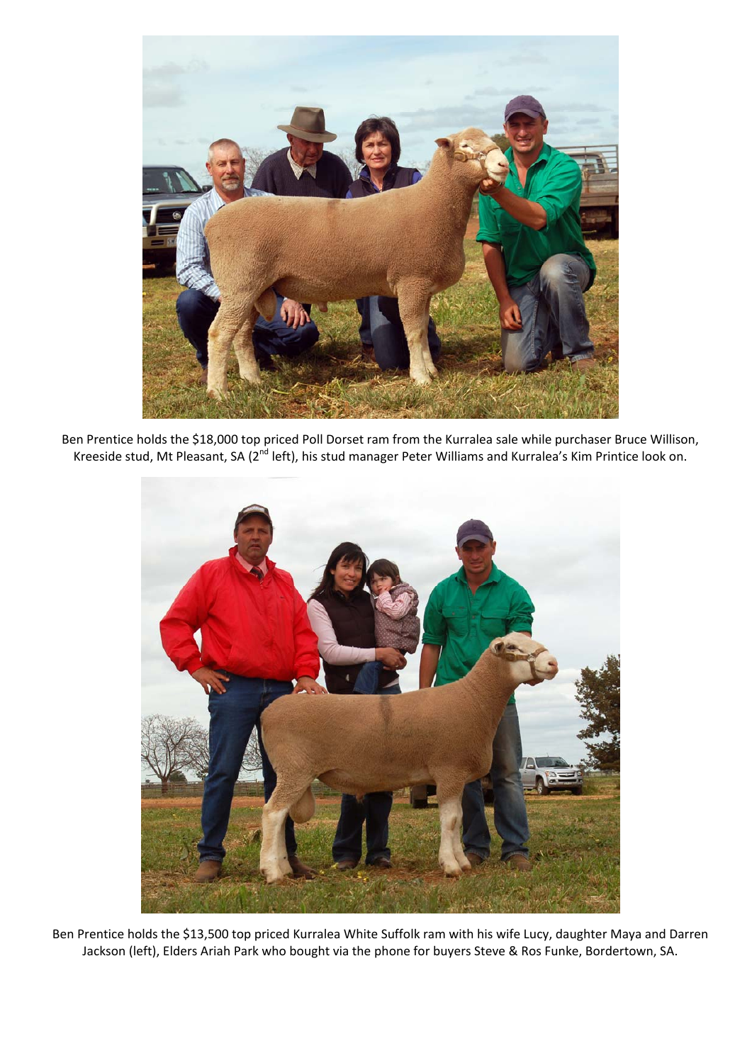

Ben Prentice holds the \$18,000 top priced Poll Dorset ram from the Kurralea sale while purchaser Bruce Willison, Kreeside stud, Mt Pleasant, SA (2nd left), his stud manager Peter Williams and Kurralea's Kim Printice look on.



Ben Prentice holds the \$13,500 top priced Kurralea White Suffolk ram with his wife Lucy, daughter Maya and Darren Jackson (left), Elders Ariah Park who bought via the phone for buyers Steve & Ros Funke, Bordertown, SA.